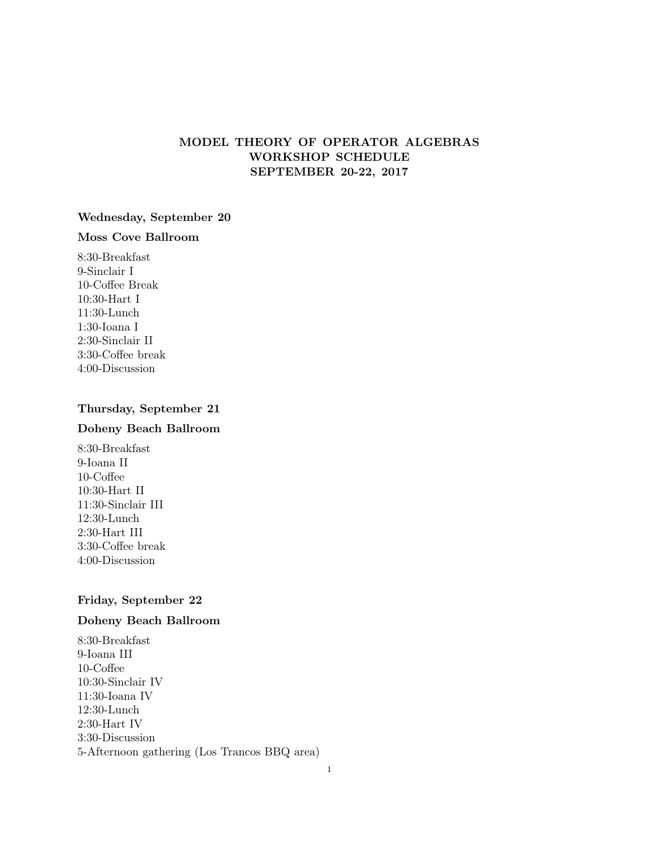# MODEL THEORY OF OPERATOR ALGEBRAS WORKSHOP SCHEDULE SEPTEMBER 20-22, 2017

## Wednesday, September 20

# Moss Cove Ballroom

8:30-Breakfast 9-Sinclair I 10-Coffee Break 10:30-Hart I 11:30-Lunch 1:30-Ioana I 2:30-Sinclair II 3:30-Coffee break 4:00-Discussion

# Thursday, September 21

## Doheny Beach Ballroom

8:30-Breakfast 9-Ioana II 10-Coffee 10:30-Hart II 11:30-Sinclair III 12:30-Lunch 2:30-Hart III 3:30-Coffee break 4:00-Discussion

## Friday, September 22

# Doheny Beach Ballroom

8:30-Breakfast 9-Ioana III 10-Coffee 10:30-Sinclair IV 11:30-Ioana IV 12:30-Lunch 2:30-Hart IV 3:30-Discussion 5-Afternoon gathering (Los Trancos BBQ area)